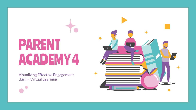# PARENT ACADEMY 4

Visualizing Effective Engagement during Virtual Learning

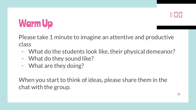

# Warm Up

Please take 1 minute to imagine an attentive and productive class

- What do the students look like, their physical demeanor?
- What do they sound like?
- What are they doing?

When you start to think of ideas, please share them in the chat with the group.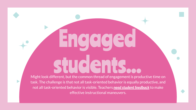# Engaged students...

D

Might look different, but the common thread of engagement is productive time on task. The challenge is that not all task-oriented behavior is equally productive, and not all task-oriented behavior is visible. Teachers *need student feedback* to make effective instructional maneuvers.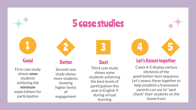# 5 case studies



First case study shows *some* students achieving the *minimum*  expectations for participation

**Better Good** Better Best

> Second case study shows more students showing higher levels of engagement

Third case study shows some students achieving the best levels of participation this year in English 9 during virtual learning



#### Let's Assess together

Cases 4-5 display various elements of the good-better-best sequence. Let's assess these together to help establish a framework parents can use to "spot check" their students on the home front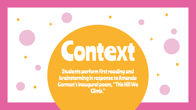# Context

Students perform first reading and brainstorming in response to Amanda Gorman's inaugural poem, "This Hill We Climb."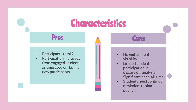- Participants total 2
- Participation increases from engaged students as time goes on, but no new participants



- No *real* student visibility
- Limited student participation in discussion, analysis
- Significant dead-air time
- Students need continual reminders to share publicly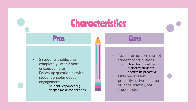#### Pros **Additional Constant**

- 2 students visible, one completely; later 2 more engage cameras
- Follow up questioning with student enables deeper engagement
	- Student responses dig deeper, make connections

- Tech interruptions disrupt student contributions
	- Basic feature of the platform; students need to be proactive
- Only one student primarily active at a time
- Student-Teacher, not student-student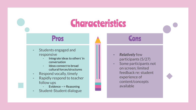- Students engaged and responsive
	- Integrate ideas to others' in conversation
	- Ideas connect to broad cultural forces/structures
- Respond vocally, timely
- Rapidly respond to teacher follow ups
	- Evidence  $\rightarrow$  Reasoning
- Student-Student dialogue

#### Pros Andrea Cons

- *- Relatively* few participants (5/27)
	- Some participants not on screen; limited feedback re: student experience of content/concepts available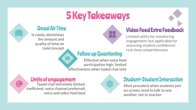# 5 Key Takeaways



 $\bullet$ 

#### Dead Air Time

Is costly, diminishes the amount and quality of time on task/concept



### Video Feed Extra Feedback

Limited utility for monitoring engagement, but applicable for assessing student confidence/ real-time comprehension

### Follow up Questioning

Effective when voice feed participation high; limited effectiveness when typed chat only

#### Limits of engagement

Typed chat extremely limited, inefficient; voice channel preferred; voice and video feed best



### Student-Student Interaction

Most prevalent when students join on screen; tend to talk to one another, not to teacher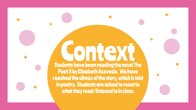Students have been reading the novel The Poet X by Elizabeth Acevedo. We have reached the climax of the story, which is told in poetry. Students are asked to react to what they read/listened to in class. Context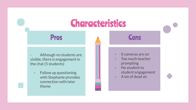Although no students are visible, there is engagement in the chat (5 students)

- Follow up questioning with Stephanie provides connection with later theme



#### 0 cameras are on

- Too much teacher prompting
- No student to student engagement
- A lot of dead air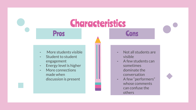### Pros **Cons**

#### - More students visible

- Student to student engagement
- Energy level is higher
- More connections made when discussion is present

#### Not all students are visible

- A few students can sometimes dominate the conversation
- A few "performers" whose comments can confuse the others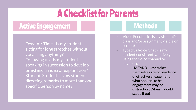### A Checklist for Parents

### Active Engagement Methods

- Dead Air Time Is my student sitting for long stretches without vocalizing anything?
- $\blacksquare$  Following up Is my student speaking in succession to develop or extend an idea or explanation?
- Student-Student Is my student directing remarks to more than one specific person by name?

- Video Feedback Is my student's class and/or assignment visible on screen?
- Typed vs Voice Chat Is my student consistently, actively using the voice channel or keyboard
	- HAZARD keystrokes themselves are not evidence of effective engagement; what appears to be engagement may be distraction. When in doubt, scope it out!